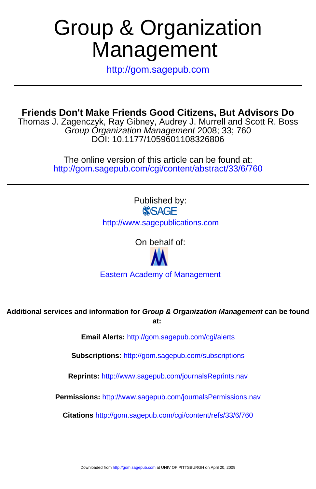# Management Group & Organization

http://gom.sagepub.com

**Friends Don't Make Friends Good Citizens, But Advisors Do**

DOI: 10.1177/1059601108326806 Group Organization Management 2008; 33; 760 Thomas J. Zagenczyk, Ray Gibney, Audrey J. Murrell and Scott R. Boss

> http://gom.sagepub.com/cgi/content/abstract/33/6/760 The online version of this article can be found at:

> > Published by: **SSAGE** http://www.sagepublications.com

> > > On behalf of:

[Eastern Academy of Management](http://eaom.org/)

**at: Additional services and information for Group & Organization Management can be found**

**Email Alerts:** <http://gom.sagepub.com/cgi/alerts>

**Subscriptions:** <http://gom.sagepub.com/subscriptions>

**Reprints:** <http://www.sagepub.com/journalsReprints.nav>

**Permissions:** <http://www.sagepub.com/journalsPermissions.nav>

**Citations** <http://gom.sagepub.com/cgi/content/refs/33/6/760>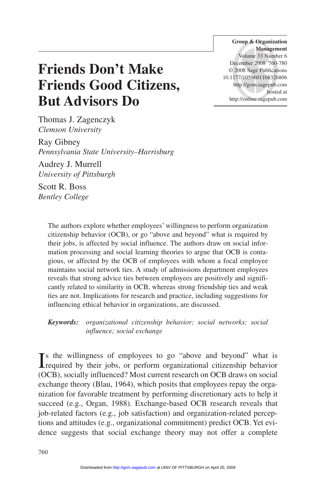#### **Group & Organization Management** Volume 33 Number 6 December 2008 760-780 © 2008 Sage Publications 10.1177/1059601108326806 http://gom.sagepub.com hosted at http://online.sagepub.com

## **Friends Don't Make Friends Good Citizens, But Advisors Do**

Thomas J. Zagenczyk *Clemson University*

Ray Gibney *Pennsylvania State University–Harrisburg*

Audrey J. Murrell *University of Pittsburgh*

Scott R. Boss *Bentley College*

> The authors explore whether employees' willingness to perform organization citizenship behavior (OCB), or go "above and beyond" what is required by their jobs, is affected by social influence. The authors draw on social information processing and social learning theories to argue that OCB is contagious, or affected by the OCB of employees with whom a focal employee maintains social network ties. A study of admissions department employees reveals that strong advice ties between employees are positively and significantly related to similarity in OCB, whereas strong friendship ties and weak ties are not. Implications for research and practice, including suggestions for influencing ethical behavior in organizations, are discussed.

> *Keywords: organizational citizenship behavior; social networks; social influence; social exchange*

If the willingness of employees to go "above and beyond" what is<br>required by their jobs, or perform organizational citizenship behavior  $\mathbf{T}$ s the willingness of employees to go "above and beyond" what is (OCB), socially influenced? Most current research on OCB draws on social exchange theory (Blau, 1964), which posits that employees repay the organization for favorable treatment by performing discretionary acts to help it succeed (e.g., Organ, 1988). Exchange-based OCB research reveals that job-related factors (e.g., job satisfaction) and organization-related perceptions and attitudes (e.g., organizational commitment) predict OCB. Yet evidence suggests that social exchange theory may not offer a complete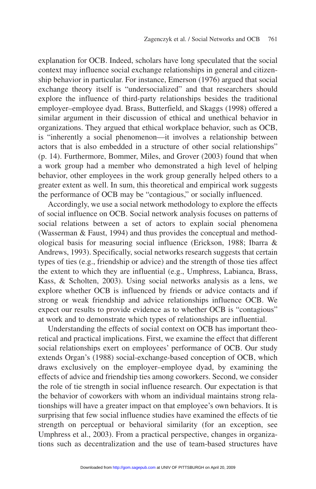explanation for OCB. Indeed, scholars have long speculated that the social context may influence social exchange relationships in general and citizenship behavior in particular. For instance, Emerson (1976) argued that social exchange theory itself is "undersocialized" and that researchers should explore the influence of third-party relationships besides the traditional employer–employee dyad. Brass, Butterfield, and Skaggs (1998) offered a similar argument in their discussion of ethical and unethical behavior in organizations. They argued that ethical workplace behavior, such as OCB, is "inherently a social phenomenon—it involves a relationship between actors that is also embedded in a structure of other social relationships" (p. 14). Furthermore, Bommer, Miles, and Grover (2003) found that when a work group had a member who demonstrated a high level of helping behavior, other employees in the work group generally helped others to a greater extent as well. In sum, this theoretical and empirical work suggests the performance of OCB may be "contagious," or socially influenced.

Accordingly, we use a social network methodology to explore the effects of social influence on OCB. Social network analysis focuses on patterns of social relations between a set of actors to explain social phenomena (Wasserman & Faust, 1994) and thus provides the conceptual and methodological basis for measuring social influence (Erickson, 1988; Ibarra & Andrews, 1993). Specifically, social networks research suggests that certain types of ties (e.g., friendship or advice) and the strength of those ties affect the extent to which they are influential (e.g., Umphress, Labianca, Brass, Kass, & Scholten, 2003). Using social networks analysis as a lens, we explore whether OCB is influenced by friends or advice contacts and if strong or weak friendship and advice relationships influence OCB. We expect our results to provide evidence as to whether OCB is "contagious" at work and to demonstrate which types of relationships are influential.

Understanding the effects of social context on OCB has important theoretical and practical implications. First, we examine the effect that different social relationships exert on employees' performance of OCB. Our study extends Organ's (1988) social-exchange-based conception of OCB, which draws exclusively on the employer–employee dyad, by examining the effects of advice and friendship ties among coworkers. Second, we consider the role of tie strength in social influence research. Our expectation is that the behavior of coworkers with whom an individual maintains strong relationships will have a greater impact on that employee's own behaviors. It is surprising that few social influence studies have examined the effects of tie strength on perceptual or behavioral similarity (for an exception, see Umphress et al., 2003). From a practical perspective, changes in organizations such as decentralization and the use of team-based structures have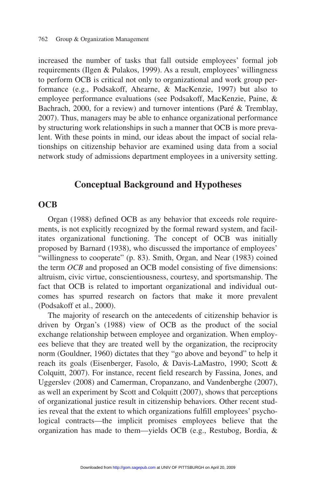increased the number of tasks that fall outside employees' formal job requirements (Ilgen & Pulakos, 1999). As a result, employees' willingness to perform OCB is critical not only to organizational and work group performance (e.g., Podsakoff, Ahearne, & MacKenzie, 1997) but also to employee performance evaluations (see Podsakoff, MacKenzie, Paine, & Bachrach, 2000, for a review) and turnover intentions (Paré & Tremblay, 2007). Thus, managers may be able to enhance organizational performance by structuring work relationships in such a manner that OCB is more prevalent. With these points in mind, our ideas about the impact of social relationships on citizenship behavior are examined using data from a social network study of admissions department employees in a university setting.

## **Conceptual Background and Hypotheses**

## **OCB**

Organ (1988) defined OCB as any behavior that exceeds role requirements, is not explicitly recognized by the formal reward system, and facilitates organizational functioning. The concept of OCB was initially proposed by Barnard (1938), who discussed the importance of employees' "willingness to cooperate" (p. 83). Smith, Organ, and Near (1983) coined the term *OCB* and proposed an OCB model consisting of five dimensions: altruism, civic virtue, conscientiousness, courtesy, and sportsmanship. The fact that OCB is related to important organizational and individual outcomes has spurred research on factors that make it more prevalent (Podsakoff et al., 2000).

The majority of research on the antecedents of citizenship behavior is driven by Organ's (1988) view of OCB as the product of the social exchange relationship between employee and organization. When employees believe that they are treated well by the organization, the reciprocity norm (Gouldner, 1960) dictates that they "go above and beyond" to help it reach its goals (Eisenberger, Fasolo, & Davis-LaMastro, 1990; Scott & Colquitt, 2007). For instance, recent field research by Fassina, Jones, and Uggerslev (2008) and Camerman, Cropanzano, and Vandenberghe (2007), as well an experiment by Scott and Colquitt (2007), shows that perceptions of organizational justice result in citizenship behaviors. Other recent studies reveal that the extent to which organizations fulfill employees' psychological contracts—the implicit promises employees believe that the organization has made to them—yields OCB (e.g., Restubog, Bordia, &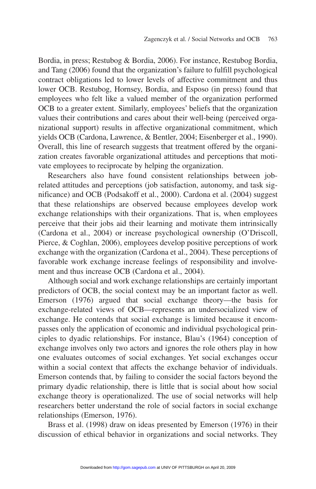Bordia, in press; Restubog & Bordia, 2006). For instance, Restubog Bordia, and Tang (2006) found that the organization's failure to fulfill psychological contract obligations led to lower levels of affective commitment and thus lower OCB. Restubog, Hornsey, Bordia, and Esposo (in press) found that employees who felt like a valued member of the organization performed OCB to a greater extent. Similarly, employees' beliefs that the organization values their contributions and cares about their well-being (perceived organizational support) results in affective organizational commitment, which yields OCB (Cardona, Lawrence, & Bentler, 2004; Eisenberger et al., 1990). Overall, this line of research suggests that treatment offered by the organization creates favorable organizational attitudes and perceptions that motivate employees to reciprocate by helping the organization.

Researchers also have found consistent relationships between jobrelated attitudes and perceptions (job satisfaction, autonomy, and task significance) and OCB (Podsakoff et al., 2000). Cardona et al. (2004) suggest that these relationships are observed because employees develop work exchange relationships with their organizations. That is, when employees perceive that their jobs aid their learning and motivate them intrinsically (Cardona et al., 2004) or increase psychological ownership (O'Driscoll, Pierce, & Coghlan, 2006), employees develop positive perceptions of work exchange with the organization (Cardona et al., 2004). These perceptions of favorable work exchange increase feelings of responsibility and involvement and thus increase OCB (Cardona et al., 2004).

Although social and work exchange relationships are certainly important predictors of OCB, the social context may be an important factor as well. Emerson (1976) argued that social exchange theory—the basis for exchange-related views of OCB—represents an undersocialized view of exchange. He contends that social exchange is limited because it encompasses only the application of economic and individual psychological principles to dyadic relationships. For instance, Blau's (1964) conception of exchange involves only two actors and ignores the role others play in how one evaluates outcomes of social exchanges. Yet social exchanges occur within a social context that affects the exchange behavior of individuals. Emerson contends that, by failing to consider the social factors beyond the primary dyadic relationship, there is little that is social about how social exchange theory is operationalized. The use of social networks will help researchers better understand the role of social factors in social exchange relationships (Emerson, 1976).

Brass et al. (1998) draw on ideas presented by Emerson (1976) in their discussion of ethical behavior in organizations and social networks. They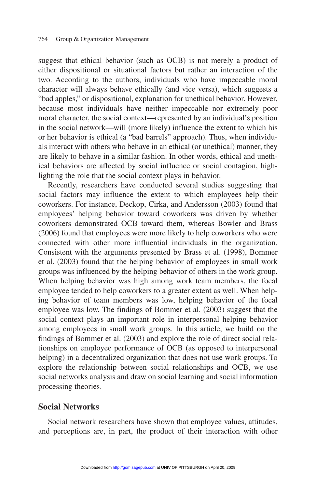suggest that ethical behavior (such as OCB) is not merely a product of either dispositional or situational factors but rather an interaction of the two. According to the authors, individuals who have impeccable moral character will always behave ethically (and vice versa), which suggests a "bad apples," or dispositional, explanation for unethical behavior. However, because most individuals have neither impeccable nor extremely poor moral character, the social context—represented by an individual's position in the social network—will (more likely) influence the extent to which his or her behavior is ethical (a "bad barrels" approach). Thus, when individuals interact with others who behave in an ethical (or unethical) manner, they are likely to behave in a similar fashion. In other words, ethical and unethical behaviors are affected by social influence or social contagion, highlighting the role that the social context plays in behavior.

Recently, researchers have conducted several studies suggesting that social factors may influence the extent to which employees help their coworkers. For instance, Deckop, Cirka, and Andersson (2003) found that employees' helping behavior toward coworkers was driven by whether coworkers demonstrated OCB toward them, whereas Bowler and Brass (2006) found that employees were more likely to help coworkers who were connected with other more influential individuals in the organization. Consistent with the arguments presented by Brass et al. (1998), Bommer et al. (2003) found that the helping behavior of employees in small work groups was influenced by the helping behavior of others in the work group. When helping behavior was high among work team members, the focal employee tended to help coworkers to a greater extent as well. When helping behavior of team members was low, helping behavior of the focal employee was low. The findings of Bommer et al. (2003) suggest that the social context plays an important role in interpersonal helping behavior among employees in small work groups. In this article, we build on the findings of Bommer et al. (2003) and explore the role of direct social relationships on employee performance of OCB (as opposed to interpersonal helping) in a decentralized organization that does not use work groups. To explore the relationship between social relationships and OCB, we use social networks analysis and draw on social learning and social information processing theories.

## **Social Networks**

Social network researchers have shown that employee values, attitudes, and perceptions are, in part, the product of their interaction with other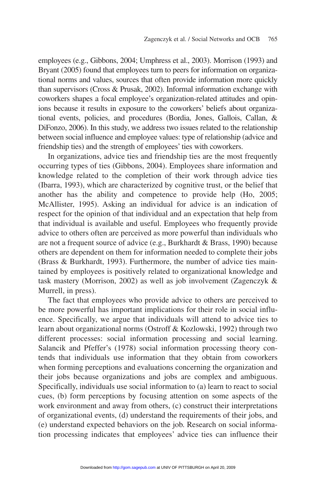employees (e.g., Gibbons, 2004; Umphress et al., 2003). Morrison (1993) and Bryant (2005) found that employees turn to peers for information on organizational norms and values, sources that often provide information more quickly than supervisors (Cross & Prusak, 2002). Informal information exchange with coworkers shapes a focal employee's organization-related attitudes and opinions because it results in exposure to the coworkers' beliefs about organizational events, policies, and procedures (Bordia, Jones, Gallois, Callan, & DiFonzo, 2006). In this study, we address two issues related to the relationship between social influence and employee values: type of relationship (advice and friendship ties) and the strength of employees' ties with coworkers.

In organizations, advice ties and friendship ties are the most frequently occurring types of ties (Gibbons, 2004). Employees share information and knowledge related to the completion of their work through advice ties (Ibarra, 1993), which are characterized by cognitive trust, or the belief that another has the ability and competence to provide help (Ho, 2005; McAllister, 1995). Asking an individual for advice is an indication of respect for the opinion of that individual and an expectation that help from that individual is available and useful. Employees who frequently provide advice to others often are perceived as more powerful than individuals who are not a frequent source of advice (e.g., Burkhardt & Brass, 1990) because others are dependent on them for information needed to complete their jobs (Brass & Burkhardt, 1993). Furthermore, the number of advice ties maintained by employees is positively related to organizational knowledge and task mastery (Morrison, 2002) as well as job involvement (Zagenczyk & Murrell, in press).

The fact that employees who provide advice to others are perceived to be more powerful has important implications for their role in social influence. Specifically, we argue that individuals will attend to advice ties to learn about organizational norms (Ostroff & Kozlowski, 1992) through two different processes: social information processing and social learning. Salancik and Pfeffer's (1978) social information processing theory contends that individuals use information that they obtain from coworkers when forming perceptions and evaluations concerning the organization and their jobs because organizations and jobs are complex and ambiguous. Specifically, individuals use social information to (a) learn to react to social cues, (b) form perceptions by focusing attention on some aspects of the work environment and away from others, (c) construct their interpretations of organizational events, (d) understand the requirements of their jobs, and (e) understand expected behaviors on the job. Research on social information processing indicates that employees' advice ties can influence their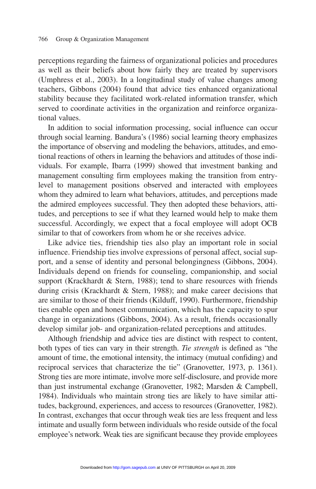perceptions regarding the fairness of organizational policies and procedures as well as their beliefs about how fairly they are treated by supervisors (Umphress et al., 2003). In a longitudinal study of value changes among teachers, Gibbons (2004) found that advice ties enhanced organizational stability because they facilitated work-related information transfer, which served to coordinate activities in the organization and reinforce organizational values.

In addition to social information processing, social influence can occur through social learning. Bandura's (1986) social learning theory emphasizes the importance of observing and modeling the behaviors, attitudes, and emotional reactions of others in learning the behaviors and attitudes of those individuals. For example, Ibarra (1999) showed that investment banking and management consulting firm employees making the transition from entrylevel to management positions observed and interacted with employees whom they admired to learn what behaviors, attitudes, and perceptions made the admired employees successful. They then adopted these behaviors, attitudes, and perceptions to see if what they learned would help to make them successful. Accordingly, we expect that a focal employee will adopt OCB similar to that of coworkers from whom he or she receives advice.

Like advice ties, friendship ties also play an important role in social influence. Friendship ties involve expressions of personal affect, social support, and a sense of identity and personal belongingness (Gibbons, 2004). Individuals depend on friends for counseling, companionship, and social support (Krackhardt & Stern, 1988); tend to share resources with friends during crisis (Krackhardt & Stern, 1988); and make career decisions that are similar to those of their friends (Kilduff, 1990). Furthermore, friendship ties enable open and honest communication, which has the capacity to spur change in organizations (Gibbons, 2004). As a result, friends occasionally develop similar job- and organization-related perceptions and attitudes.

Although friendship and advice ties are distinct with respect to content, both types of ties can vary in their strength. *Tie strength* is defined as "the amount of time, the emotional intensity, the intimacy (mutual confiding) and reciprocal services that characterize the tie" (Granovetter, 1973, p. 1361). Strong ties are more intimate, involve more self-disclosure, and provide more than just instrumental exchange (Granovetter, 1982; Marsden & Campbell, 1984). Individuals who maintain strong ties are likely to have similar attitudes, background, experiences, and access to resources (Granovetter, 1982). In contrast, exchanges that occur through weak ties are less frequent and less intimate and usually form between individuals who reside outside of the focal employee's network. Weak ties are significant because they provide employees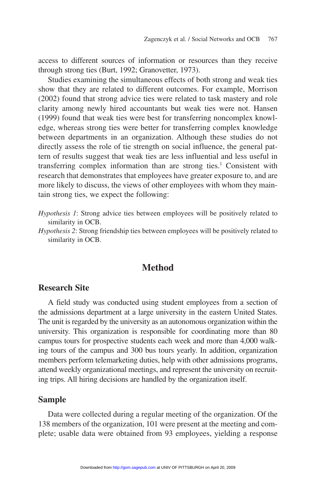access to different sources of information or resources than they receive through strong ties (Burt, 1992; Granovetter, 1973).

Studies examining the simultaneous effects of both strong and weak ties show that they are related to different outcomes. For example, Morrison (2002) found that strong advice ties were related to task mastery and role clarity among newly hired accountants but weak ties were not. Hansen (1999) found that weak ties were best for transferring noncomplex knowledge, whereas strong ties were better for transferring complex knowledge between departments in an organization. Although these studies do not directly assess the role of tie strength on social influence, the general pattern of results suggest that weak ties are less influential and less useful in transferring complex information than are strong ties.<sup>1</sup> Consistent with research that demonstrates that employees have greater exposure to, and are more likely to discuss, the views of other employees with whom they maintain strong ties, we expect the following:

*Hypothesis 1*: Strong advice ties between employees will be positively related to similarity in OCB.

*Hypothesis 2*: Strong friendship ties between employees will be positively related to similarity in OCB.

## **Method**

## **Research Site**

A field study was conducted using student employees from a section of the admissions department at a large university in the eastern United States. The unit is regarded by the university as an autonomous organization within the university. This organization is responsible for coordinating more than 80 campus tours for prospective students each week and more than 4,000 walking tours of the campus and 300 bus tours yearly. In addition, organization members perform telemarketing duties, help with other admissions programs, attend weekly organizational meetings, and represent the university on recruiting trips. All hiring decisions are handled by the organization itself.

#### **Sample**

Data were collected during a regular meeting of the organization. Of the 138 members of the organization, 101 were present at the meeting and complete; usable data were obtained from 93 employees, yielding a response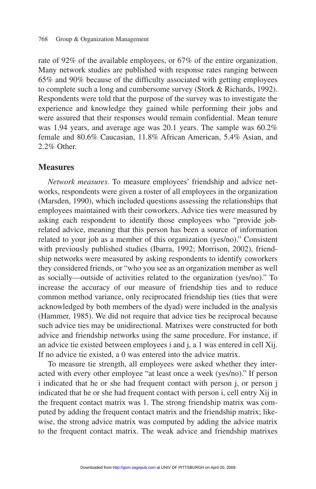rate of 92% of the available employees, or 67% of the entire organization. Many network studies are published with response rates ranging between 65% and 90% because of the difficulty associated with getting employees to complete such a long and cumbersome survey (Stork & Richards, 1992). Respondents were told that the purpose of the survey was to investigate the experience and knowledge they gained while performing their jobs and were assured that their responses would remain confidential. Mean tenure was 1.94 years, and average age was 20.1 years. The sample was 60.2% female and 80.6% Caucasian, 11.8% African American, 5.4% Asian, and 2.2% Other.

#### **Measures**

*Network measures*. To measure employees' friendship and advice networks, respondents were given a roster of all employees in the organization (Marsden, 1990), which included questions assessing the relationships that employees maintained with their coworkers. Advice ties were measured by asking each respondent to identify those employees who "provide jobrelated advice, meaning that this person has been a source of information related to your job as a member of this organization (yes/no)." Consistent with previously published studies (Ibarra, 1992; Morrison, 2002), friendship networks were measured by asking respondents to identify coworkers they considered friends, or "who you see as an organization member as well as socially—outside of activities related to the organization (yes/no)." To increase the accuracy of our measure of friendship ties and to reduce common method variance, only reciprocated friendship ties (ties that were acknowledged by both members of the dyad) were included in the analysis (Hammer, 1985). We did not require that advice ties be reciprocal because such advice ties may be unidirectional. Matrixes were constructed for both advice and friendship networks using the same procedure. For instance, if an advice tie existed between employees i and j, a 1 was entered in cell Xij. If no advice tie existed, a 0 was entered into the advice matrix.

To measure tie strength, all employees were asked whether they interacted with every other employee "at least once a week (yes/no)." If person i indicated that he or she had frequent contact with person j, or person j indicated that he or she had frequent contact with person i, cell entry Xij in the frequent contact matrix was 1. The strong friendship matrix was computed by adding the frequent contact matrix and the friendship matrix; likewise, the strong advice matrix was computed by adding the advice matrix to the frequent contact matrix. The weak advice and friendship matrixes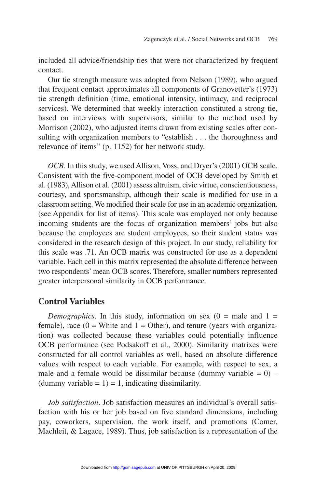included all advice/friendship ties that were not characterized by frequent contact.

Our tie strength measure was adopted from Nelson (1989), who argued that frequent contact approximates all components of Granovetter's (1973) tie strength definition (time, emotional intensity, intimacy, and reciprocal services). We determined that weekly interaction constituted a strong tie, based on interviews with supervisors, similar to the method used by Morrison (2002), who adjusted items drawn from existing scales after consulting with organization members to "establish . . . the thoroughness and relevance of items" (p. 1152) for her network study.

*OCB*. In this study, we used Allison, Voss, and Dryer's (2001) OCB scale. Consistent with the five-component model of OCB developed by Smith et al. (1983), Allison et al. (2001) assess altruism, civic virtue, conscientiousness, courtesy, and sportsmanship, although their scale is modified for use in a classroom setting. We modified their scale for use in an academic organization. (see Appendix for list of items). This scale was employed not only because incoming students are the focus of organization members' jobs but also because the employees are student employees, so their student status was considered in the research design of this project. In our study, reliability for this scale was .71. An OCB matrix was constructed for use as a dependent variable. Each cell in this matrix represented the absolute difference between two respondents' mean OCB scores. Therefore, smaller numbers represented greater interpersonal similarity in OCB performance.

## **Control Variables**

*Demographics*. In this study, information on sex  $(0 =$  male and  $1 =$ female), race  $(0 =$  White and  $1 =$  Other), and tenure (years with organization) was collected because these variables could potentially influence OCB performance (see Podsakoff et al., 2000). Similarity matrixes were constructed for all control variables as well, based on absolute difference values with respect to each variable. For example, with respect to sex, a male and a female would be dissimilar because (dummy variable  $= 0$ ) – (dummy variable  $= 1$ ) = 1, indicating dissimilarity.

*Job satisfaction*. Job satisfaction measures an individual's overall satisfaction with his or her job based on five standard dimensions, including pay, coworkers, supervision, the work itself, and promotions (Comer, Machleit, & Lagace, 1989). Thus, job satisfaction is a representation of the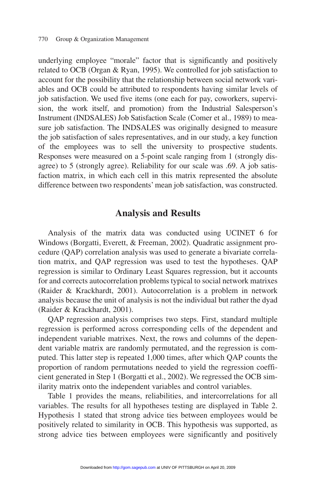underlying employee "morale" factor that is significantly and positively related to OCB (Organ & Ryan, 1995). We controlled for job satisfaction to account for the possibility that the relationship between social network variables and OCB could be attributed to respondents having similar levels of job satisfaction. We used five items (one each for pay, coworkers, supervision, the work itself, and promotion) from the Industrial Salesperson's Instrument (INDSALES) Job Satisfaction Scale (Comer et al., 1989) to measure job satisfaction. The INDSALES was originally designed to measure the job satisfaction of sales representatives, and in our study, a key function of the employees was to sell the university to prospective students. Responses were measured on a 5-point scale ranging from 1 (strongly disagree) to 5 (strongly agree). Reliability for our scale was .69. A job satisfaction matrix, in which each cell in this matrix represented the absolute difference between two respondents' mean job satisfaction, was constructed.

## **Analysis and Results**

Analysis of the matrix data was conducted using UCINET 6 for Windows (Borgatti, Everett, & Freeman, 2002). Quadratic assignment procedure (QAP) correlation analysis was used to generate a bivariate correlation matrix, and QAP regression was used to test the hypotheses. QAP regression is similar to Ordinary Least Squares regression, but it accounts for and corrects autocorrelation problems typical to social network matrixes (Raider & Krackhardt, 2001). Autocorrelation is a problem in network analysis because the unit of analysis is not the individual but rather the dyad (Raider & Krackhardt, 2001).

QAP regression analysis comprises two steps. First, standard multiple regression is performed across corresponding cells of the dependent and independent variable matrixes. Next, the rows and columns of the dependent variable matrix are randomly permutated, and the regression is computed. This latter step is repeated 1,000 times, after which QAP counts the proportion of random permutations needed to yield the regression coefficient generated in Step 1 (Borgatti et al., 2002). We regressed the OCB similarity matrix onto the independent variables and control variables.

Table 1 provides the means, reliabilities, and intercorrelations for all variables. The results for all hypotheses testing are displayed in Table 2. Hypothesis 1 stated that strong advice ties between employees would be positively related to similarity in OCB. This hypothesis was supported, as strong advice ties between employees were significantly and positively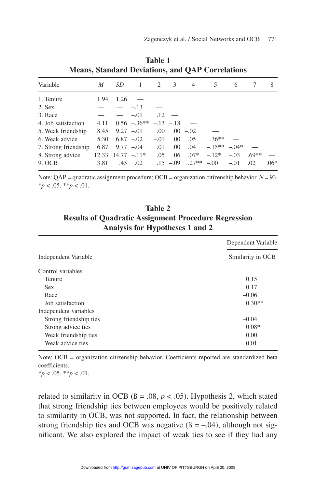| Variable             | M    | SD                      | 1             | 2                | 3                | 4           | 5              | 6      | 7       | 8      |
|----------------------|------|-------------------------|---------------|------------------|------------------|-------------|----------------|--------|---------|--------|
| 1. Tenure            | 1.94 | 1.26                    |               |                  |                  |             |                |        |         |        |
| 2. Sex               |      |                         | $-.13$        |                  |                  |             |                |        |         |        |
| 3. Race              |      |                         | $-.01$        | .12              |                  |             |                |        |         |        |
| 4. Job satisfaction  | 4.11 |                         | $0.56 - 36**$ |                  | $-.13-.18$       |             |                |        |         |        |
| 5. Weak friendship   | 8.45 |                         | $9.27 - 0.01$ | .00 <sub>1</sub> |                  | $.00 - .02$ |                |        |         |        |
| 6. Weak advice       | 5.30 |                         | $6.87 - 02$   | $-.01$           | .00.             | .05         | $.36**$        |        |         |        |
| 7. Strong friendship | 6.87 |                         | $9.77 - 0.04$ | .01              | .00 <sub>1</sub> | .04         | $-.15***-.04*$ |        |         |        |
| 8. Strong advice     |      | $12.33$ $14.77$ $-.11*$ |               | .05              | .06              | $.07*$      | $-.12*$        | $-.03$ | $.69**$ |        |
| 9. OCB               | 3.81 | .45                     | .02           |                  | $.15 - .09$      | $.27**$     | $-.00$         | $-.01$ | .02     | $.06*$ |

**Table 1 Means, Standard Deviations, and QAP Correlations**

Note:  $QAP =$  quadratic assignment procedure;  $OCB =$  organization citizenship behavior.  $N = 93$ . \**p* < .05. \*\**p* < .01.

## **Table 2 Results of Quadratic Assignment Procedure Regression Analysis for Hypotheses 1 and 2**

|                        | Dependent Variable |  |  |  |
|------------------------|--------------------|--|--|--|
| Independent Variable   | Similarity in OCB  |  |  |  |
| Control variables      |                    |  |  |  |
| Tenure                 | 0.15               |  |  |  |
| <b>Sex</b>             | 0.17               |  |  |  |
| Race                   | $-0.06$            |  |  |  |
| Job satisfaction       | $0.30**$           |  |  |  |
| Independent variables  |                    |  |  |  |
| Strong friendship ties | $-0.04$            |  |  |  |
| Strong advice ties     | $0.08*$            |  |  |  |
| Weak friendship ties   | 0.00               |  |  |  |
| Weak advice ties       | 0.01               |  |  |  |

Note: OCB = organization citizenship behavior. Coefficients reported are standardized beta coefficients. \**p* < .05. \*\**p* < .01.

related to similarity in OCB ( $\beta$  = .08,  $p$  < .05). Hypothesis 2, which stated that strong friendship ties between employees would be positively related to similarity in OCB, was not supported. In fact, the relationship between strong friendship ties and OCB was negative  $(β = -.04)$ , although not significant. We also explored the impact of weak ties to see if they had any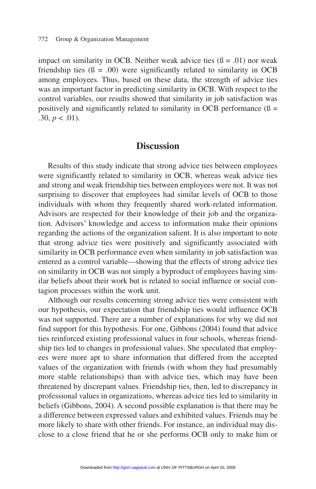impact on similarity in OCB. Neither weak advice ties  $(6 = .01)$  nor weak friendship ties  $(8 = .00)$  were significantly related to similarity in OCB among employees. Thus, based on these data, the strength of advice ties was an important factor in predicting similarity in OCB. With respect to the control variables, our results showed that similarity in job satisfaction was positively and significantly related to similarity in OCB performance  $(\beta =$  $.30, p < .01$ ).

## **Discussion**

Results of this study indicate that strong advice ties between employees were significantly related to similarity in OCB, whereas weak advice ties and strong and weak friendship ties between employees were not. It was not surprising to discover that employees had similar levels of OCB to those individuals with whom they frequently shared work-related information. Advisors are respected for their knowledge of their job and the organization. Advisors' knowledge and access to information make their opinions regarding the actions of the organization salient. It is also important to note that strong advice ties were positively and significantly associated with similarity in OCB performance even when similarity in job satisfaction was entered as a control variable—showing that the effects of strong advice ties on similarity in OCB was not simply a byproduct of employees having similar beliefs about their work but is related to social influence or social contagion processes within the work unit.

Although our results concerning strong advice ties were consistent with our hypothesis, our expectation that friendship ties would influence OCB was not supported. There are a number of explanations for why we did not find support for this hypothesis. For one, Gibbons (2004) found that advice ties reinforced existing professional values in four schools, whereas friendship ties led to changes in professional values. She speculated that employees were more apt to share information that differed from the accepted values of the organization with friends (with whom they had presumably more stable relationships) than with advice ties, which may have been threatened by discrepant values. Friendship ties, then, led to discrepancy in professional values in organizations, whereas advice ties led to similarity in beliefs (Gibbons, 2004). A second possible explanation is that there may be a difference between expressed values and exhibited values. Friends may be more likely to share with other friends. For instance, an individual may disclose to a close friend that he or she performs OCB only to make him or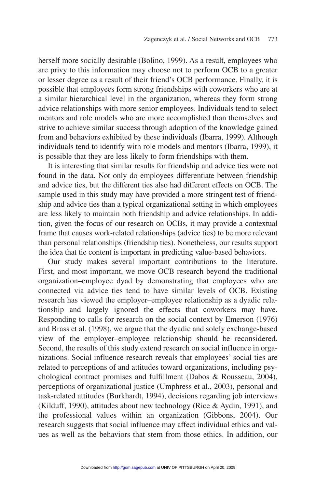herself more socially desirable (Bolino, 1999). As a result, employees who are privy to this information may choose not to perform OCB to a greater or lesser degree as a result of their friend's OCB performance. Finally, it is possible that employees form strong friendships with coworkers who are at a similar hierarchical level in the organization, whereas they form strong advice relationships with more senior employees. Individuals tend to select mentors and role models who are more accomplished than themselves and strive to achieve similar success through adoption of the knowledge gained from and behaviors exhibited by these individuals (Ibarra, 1999). Although individuals tend to identify with role models and mentors (Ibarra, 1999), it is possible that they are less likely to form friendships with them.

It is interesting that similar results for friendship and advice ties were not found in the data. Not only do employees differentiate between friendship and advice ties, but the different ties also had different effects on OCB. The sample used in this study may have provided a more stringent test of friendship and advice ties than a typical organizational setting in which employees are less likely to maintain both friendship and advice relationships. In addition, given the focus of our research on OCBs, it may provide a contextual frame that causes work-related relationships (advice ties) to be more relevant than personal relationships (friendship ties). Nonetheless, our results support the idea that tie content is important in predicting value-based behaviors.

Our study makes several important contributions to the literature. First, and most important, we move OCB research beyond the traditional organization–employee dyad by demonstrating that employees who are connected via advice ties tend to have similar levels of OCB. Existing research has viewed the employer–employee relationship as a dyadic relationship and largely ignored the effects that coworkers may have. Responding to calls for research on the social context by Emerson (1976) and Brass et al. (1998), we argue that the dyadic and solely exchange-based view of the employer–employee relationship should be reconsidered. Second, the results of this study extend research on social influence in organizations. Social influence research reveals that employees' social ties are related to perceptions of and attitudes toward organizations, including psychological contract promises and fulfillment (Dabos & Rousseau, 2004), perceptions of organizational justice (Umphress et al., 2003), personal and task-related attitudes (Burkhardt, 1994), decisions regarding job interviews (Kilduff, 1990), attitudes about new technology (Rice & Aydin, 1991), and the professional values within an organization (Gibbons, 2004). Our research suggests that social influence may affect individual ethics and values as well as the behaviors that stem from those ethics. In addition, our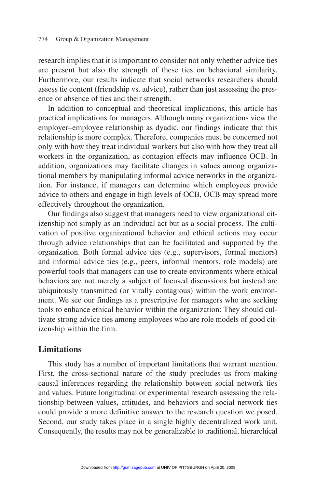research implies that it is important to consider not only whether advice ties are present but also the strength of these ties on behavioral similarity. Furthermore, our results indicate that social networks researchers should assess tie content (friendship vs. advice), rather than just assessing the presence or absence of ties and their strength.

In addition to conceptual and theoretical implications, this article has practical implications for managers. Although many organizations view the employer–employee relationship as dyadic, our findings indicate that this relationship is more complex. Therefore, companies must be concerned not only with how they treat individual workers but also with how they treat all workers in the organization, as contagion effects may influence OCB. In addition, organizations may facilitate changes in values among organizational members by manipulating informal advice networks in the organization. For instance, if managers can determine which employees provide advice to others and engage in high levels of OCB, OCB may spread more effectively throughout the organization.

Our findings also suggest that managers need to view organizational citizenship not simply as an individual act but as a social process. The cultivation of positive organizational behavior and ethical actions may occur through advice relationships that can be facilitated and supported by the organization. Both formal advice ties (e.g., supervisors, formal mentors) and informal advice ties (e.g., peers, informal mentors, role models) are powerful tools that managers can use to create environments where ethical behaviors are not merely a subject of focused discussions but instead are ubiquitously transmitted (or virally contagious) within the work environment. We see our findings as a prescriptive for managers who are seeking tools to enhance ethical behavior within the organization: They should cultivate strong advice ties among employees who are role models of good citizenship within the firm.

#### **Limitations**

This study has a number of important limitations that warrant mention. First, the cross-sectional nature of the study precludes us from making causal inferences regarding the relationship between social network ties and values. Future longitudinal or experimental research assessing the relationship between values, attitudes, and behaviors and social network ties could provide a more definitive answer to the research question we posed. Second, our study takes place in a single highly decentralized work unit. Consequently, the results may not be generalizable to traditional, hierarchical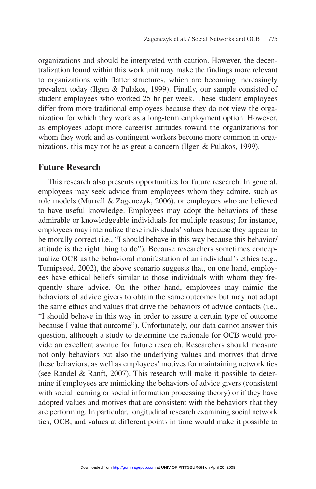organizations and should be interpreted with caution. However, the decentralization found within this work unit may make the findings more relevant to organizations with flatter structures, which are becoming increasingly prevalent today (Ilgen & Pulakos, 1999). Finally, our sample consisted of student employees who worked 25 hr per week. These student employees differ from more traditional employees because they do not view the organization for which they work as a long-term employment option. However, as employees adopt more careerist attitudes toward the organizations for whom they work and as contingent workers become more common in organizations, this may not be as great a concern (Ilgen & Pulakos, 1999).

## **Future Research**

This research also presents opportunities for future research. In general, employees may seek advice from employees whom they admire, such as role models (Murrell & Zagenczyk, 2006), or employees who are believed to have useful knowledge. Employees may adopt the behaviors of these admirable or knowledgeable individuals for multiple reasons; for instance, employees may internalize these individuals' values because they appear to be morally correct (i.e., "I should behave in this way because this behavior/ attitude is the right thing to do"). Because researchers sometimes conceptualize OCB as the behavioral manifestation of an individual's ethics (e.g., Turnipseed, 2002), the above scenario suggests that, on one hand, employees have ethical beliefs similar to those individuals with whom they frequently share advice. On the other hand, employees may mimic the behaviors of advice givers to obtain the same outcomes but may not adopt the same ethics and values that drive the behaviors of advice contacts (i.e., "I should behave in this way in order to assure a certain type of outcome because I value that outcome"). Unfortunately, our data cannot answer this question, although a study to determine the rationale for OCB would provide an excellent avenue for future research. Researchers should measure not only behaviors but also the underlying values and motives that drive these behaviors, as well as employees' motives for maintaining network ties (see Randel & Ranft, 2007). This research will make it possible to determine if employees are mimicking the behaviors of advice givers (consistent with social learning or social information processing theory) or if they have adopted values and motives that are consistent with the behaviors that they are performing. In particular, longitudinal research examining social network ties, OCB, and values at different points in time would make it possible to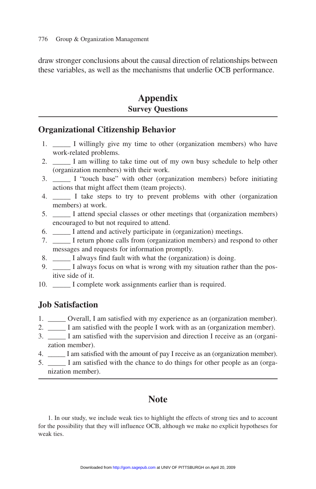draw stronger conclusions about the causal direction of relationships between these variables, as well as the mechanisms that underlie OCB performance.

## **Appendix Survey Questions**

## **Organizational Citizenship Behavior**

- 1. \_\_\_\_\_ I willingly give my time to other (organization members) who have work-related problems.
- 2. \_\_\_\_\_ I am willing to take time out of my own busy schedule to help other (organization members) with their work.
- 3. \_\_\_\_\_ I "touch base" with other (organization members) before initiating actions that might affect them (team projects).
- 4. \_\_\_\_\_ I take steps to try to prevent problems with other (organization members) at work.
- 5. \_\_\_\_\_ I attend special classes or other meetings that (organization members) encouraged to but not required to attend.
- 6. \_\_\_\_\_ I attend and actively participate in (organization) meetings.
- 7. \_\_\_\_\_ I return phone calls from (organization members) and respond to other messages and requests for information promptly.
- 8. I always find fault with what the (organization) is doing.
- 9. \_\_\_\_\_ I always focus on what is wrong with my situation rather than the positive side of it.
- 10. \_\_\_\_\_\_ I complete work assignments earlier than is required.

## **Job Satisfaction**

- 1. \_\_\_\_\_ Overall, I am satisfied with my experience as an (organization member).
- 2. \_\_\_\_\_ I am satisfied with the people I work with as an (organization member).
- 3. \_\_\_\_\_ I am satisfied with the supervision and direction I receive as an (organization member).
- 4. \_\_\_\_\_ I am satisfied with the amount of pay I receive as an (organization member).
- 5. \_\_\_\_\_ I am satisfied with the chance to do things for other people as an (organization member).

## **Note**

1. In our study, we include weak ties to highlight the effects of strong ties and to account for the possibility that they will influence OCB, although we make no explicit hypotheses for weak ties.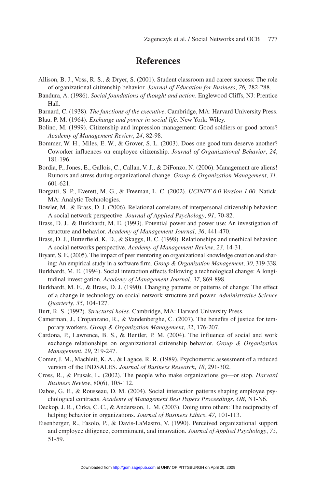## **References**

- Allison, B. J., Voss, R. S., & Dryer, S. (2001). Student classroom and career success: The role of organizational citizenship behavior. *Journal of Education for Business*, *76,* 282-288.
- Bandura, A. (1986). *Social foundations of thought and action*. Englewood Cliffs, NJ: Prentice Hall.
- Barnard, C. (1938). *The functions of the executive*. Cambridge, MA: Harvard University Press.
- Blau, P. M. (1964). *Exchange and power in social life*. New York: Wiley.
- Bolino, M. (1999). Citizenship and impression management: Good soldiers or good actors? *Academy of Management Review*, *24*, 82-98.
- Bommer, W. H., Miles, E. W., & Grover, S. L. (2003). Does one good turn deserve another? Coworker influences on employee citizenship. *Journal of Organizational Behavior*, *24*, 181-196.
- Bordia, P., Jones, E., Gallois, C., Callan, V. J., & DiFonzo, N. (2006). Management are aliens! Rumors and stress during organizational change. *Group & Organization Management*, *31*, 601-621.
- Borgatti, S. P., Everett, M. G., & Freeman, L. C. (2002). *UCINET 6.0 Version 1.00*. Natick, MA: Analytic Technologies.
- Bowler, M., & Brass, D. J. (2006). Relational correlates of interpersonal citizenship behavior: A social network perspective. *Journal of Applied Psychology*, *91*, 70-82.
- Brass, D. J., & Burkhardt, M. E. (1993). Potential power and power use: An investigation of structure and behavior. *Academy of Management Journal*, *36*, 441-470.
- Brass, D. J., Butterfield, K. D., & Skaggs, B. C. (1998). Relationships and unethical behavior: A social networks perspective. *Academy of Management Review*, *23*, 14-31.
- Bryant, S. E. (2005). The impact of peer mentoring on organizational knowledge creation and sharing: An empirical study in a software firm. *Group & Organization Management*, *30*, 319-338.
- Burkhardt, M. E. (1994). Social interaction effects following a technological change: A longitudinal investigation. *Academy of Management Journal*, *37*, 869-898.
- Burkhardt, M. E., & Brass, D. J. (1990). Changing patterns or patterns of change: The effect of a change in technology on social network structure and power. *Administrative Science Quarterly*, *35*, 104-127.
- Burt, R. S. (1992). *Structural holes*. Cambridge, MA: Harvard University Press.
- Camerman, J., Cropanzano, R., & Vandenberghe, C. (2007). The benefits of justice for temporary workers. *Group & Organization Management*, *32*, 176-207.
- Cardona, P., Lawrence, B. S., & Bentler, P. M. (2004). The influence of social and work exchange relationships on organizational citizenship behavior. *Group & Organization Management*, *29*, 219-247.
- Comer, J. M., Machleit, K. A., & Lagace, R. R. (1989). Psychometric assessment of a reduced version of the INDSALES. *Journal of Business Research*, *18*, 291-302.
- Cross, R., & Prusak, L. (2002). The people who make organizations go—or stop. *Harvard Business Review*, 80(6), 105-112.
- Dabos, G. E., & Rousseau, D. M. (2004). Social interaction patterns shaping employee psychological contracts. *Academy of Management Best Papers Proceedings*, *OB*, N1-N6.
- Deckop, J. R., Cirka, C. C., & Andersson, L. M. (2003). Doing unto others: The reciprocity of helping behavior in organizations. *Journal of Business Ethics*, *47*, 101-113.
- Eisenberger, R., Fasolo, P., & Davis-LaMastro, V. (1990). Perceived organizational support and employee diligence, commitment, and innovation. *Journal of Applied Psychology*, *75*, 51-59.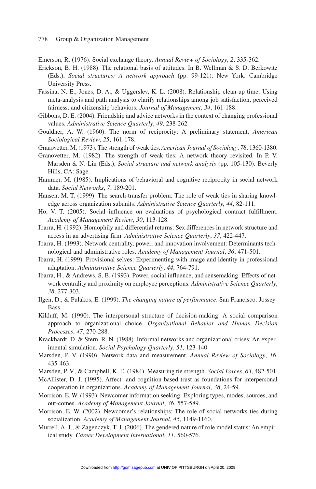Emerson, R. (1976). Social exchange theory. *Annual Review of Sociology*, *2*, 335-362.

- Erickson, B. H. (1988). The relational basis of attitudes. In B. Wellman & S. D. Berkowitz (Eds.), *Social structures: A network approach* (pp. 99-121). New York: Cambridge University Press.
- Fassina, N. E., Jones, D. A., & Uggerslev, K. L. (2008). Relationship clean-up time: Using meta-analysis and path analysis to clarify relationships among job satisfaction, perceived fairness, and citizenship behaviors. *Journal of Management*, *34*, 161-188.
- Gibbons, D. E. (2004). Friendship and advice networks in the context of changing professional values. *Administrative Science Quarterly*, *49*, 238-262.
- Gouldner, A. W. (1960). The norm of reciprocity: A preliminary statement. *American Sociological Review*, *25*, 161-178.
- Granovetter, M. (1973). The strength of weak ties. *American Journal of Sociology*, *78*, 1360-1380.
- Granovetter, M. (1982). The strength of weak ties: A network theory revisited. In P. V. Marsden & N. Lin (Eds.), *Social structure and network analysis* (pp. 105-130). Beverly Hills, CA: Sage.
- Hammer, M. (1985). Implications of behavioral and cognitive reciprocity in social network data. *Social Networks*, *7*, 189-201.
- Hansen, M. T. (1999). The search-transfer problem: The role of weak ties in sharing knowledge across organization subunits. *Administrative Science Quarterly*, *44*, 82-111.
- Ho, V. T. (2005). Social influence on evaluations of psychological contract fulfillment. *Academy of Management Review*, *30*, 113-128.
- Ibarra, H. (1992). Homophily and differential returns: Sex differences in network structure and access in an advertising firm. *Administrative Science Quarterly*, *37*, 422-447.
- Ibarra, H. (1993). Network centrality, power, and innovation involvement: Determinants technological and administrative roles. *Academy of Management Journal*, *36*, 471-501.
- Ibarra, H. (1999). Provisional selves: Experimenting with image and identity in professional adaptation. *Administrative Science Quarterly*, *44*, 764-791.
- Ibarra, H., & Andrews, S. B. (1993). Power, social influence, and sensemaking: Effects of network centrality and proximity on employee perceptions. *Administrative Science Quarterly*, *38*, 277-303.
- Ilgen, D., & Pulakos, E. (1999). *The changing nature of performance*. San Francisco: Jossey-Bass.
- Kilduff, M. (1990). The interpersonal structure of decision-making: A social comparison approach to organizational choice. *Organizational Behavior and Human Decision Processes*, *47*, 270-288.
- Krackhardt, D. & Stern, R. N. (1988). Informal networks and organizational crises: An experimental simulation. *Social Psychology Quarterly*, *51*, 123-140.
- Marsden, P. V. (1990). Network data and measurement. *Annual Review of Sociology*, *16*, 435-463.
- Marsden, P. V., & Campbell, K. E. (1984). Measuring tie strength. *Social Forces*, *63*, 482-501.
- McAllister, D. J. (1995). Affect- and cognition-based trust as foundations for interpersonal cooperation in organizations. *Academy of Management Journal*, *38*, 24-59.
- Morrison, E. W. (1993). Newcomer information seeking: Exploring types, modes, sources, and out-comes. *Academy of Management Journal*, *36*, 557-589.
- Morrison, E. W. (2002). Newcomer's relationships: The role of social networks ties during socialization. *Academy of Management Journal*, *45*, 1149-1160.
- Murrell, A. J., & Zagenczyk, T. J. (2006). The gendered nature of role model status: An empirical study. *Career Development International*, *11*, 560-576.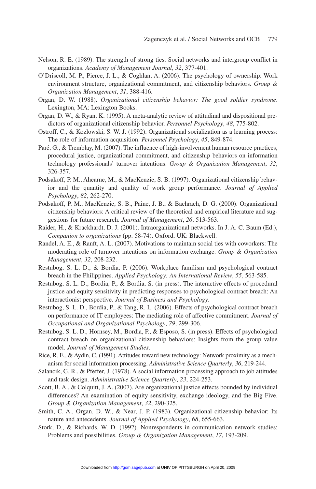- Nelson, R. E. (1989). The strength of strong ties: Social networks and intergroup conflict in organizations. *Academy of Management Journal*, *32*, 377-401.
- O'Driscoll, M. P., Pierce, J. L., & Coghlan, A. (2006). The psychology of ownership: Work environment structure, organizational commitment, and citizenship behaviors. *Group & Organization Management*, *31*, 388-416.
- Organ, D. W. (1988). *Organizational citizenship behavior: The good soldier syndrome*. Lexington, MA: Lexington Books.
- Organ, D. W., & Ryan, K. (1995). A meta-analytic review of attitudinal and dispositional predictors of organizational citizenship behavior. *Personnel Psychology*, *48*, 775-802.
- Ostroff, C., & Kozlowski, S. W. J. (1992). Organizational socialization as a learning process: The role of information acquisition. *Personnel Psychology*, *45*, 849-874.
- Paré, G., & Tremblay, M. (2007). The influence of high-involvement human resource practices, procedural justice, organizational commitment, and citizenship behaviors on information technology professionals' turnover intentions. *Group & Organization Management*, *32*, 326-357.
- Podsakoff, P. M., Ahearne, M., & MacKenzie, S. B. (1997). Organizational citizenship behavior and the quantity and quality of work group performance. *Journal of Applied Psychology*, *82*, 262-270.
- Podsakoff, P. M., MacKenzie, S. B., Paine, J. B., & Bachrach, D. G. (2000). Organizational citizenship behaviors: A critical review of the theoretical and empirical literature and suggestions for future research. *Journal of Management*, *26*, 513-563.
- Raider, H., & Krackhardt, D. J. (2001). Intraorganizational networks. In J. A. C. Baum (Ed.), *Companion to organizations* (pp. 58-74). Oxford, UK: Blackwell.
- Randel, A. E., & Ranft, A. L. (2007). Motivations to maintain social ties with coworkers: The moderating role of turnover intentions on information exchange. *Group & Organization Management*, *32*, 208-232.
- Restubog, S. L. D., & Bordia, P. (2006). Workplace familism and psychological contract breach in the Philippines. *Applied Psychology: An International Review*, *55*, 563-585.
- Restubog, S. L. D., Bordia, P., & Bordia, S. (in press). The interactive effects of procedural justice and equity sensitivity in predicting responses to psychological contract breach: An interactionist perspective. *Journal of Business and Psychology*.
- Restubog, S. L. D., Bordia, P., & Tang, R. L. (2006). Effects of psychological contract breach on performance of IT employees: The mediating role of affective commitment. *Journal of Occupational and Organizational Psychology*, *79*, 299-306.
- Restubog, S. L. D., Hornsey, M., Bordia, P., & Esposo, S. (in press). Effects of psychological contract breach on organizational citizenship behaviors: Insights from the group value model. *Journal of Management Studies*.
- Rice, R. E., & Aydin, C. (1991). Attitudes toward new technology: Network proximity as a mechanism for social information processing. *Administrative Science Quarterly*, *36*, 219-244.
- Salancik, G. R., & Pfeffer, J. (1978). A social information processing approach to job attitudes and task design. *Administrative Science Quarterly*, *23*, 224-253.
- Scott, B. A., & Colquitt, J. A. (2007). Are organizational justice effects bounded by individual differences? An examination of equity sensitivity, exchange ideology, and the Big Five. *Group & Organization Management*, *32*, 290-325.
- Smith, C. A., Organ, D. W., & Near, J. P. (1983). Organizational citizenship behavior: Its nature and antecedents. *Journal of Applied Psychology*, *68*, 655-663.
- Stork, D., & Richards, W. D. (1992). Nonrespondents in communication network studies: Problems and possibilities. *Group & Organization Management*, *17*, 193-209.